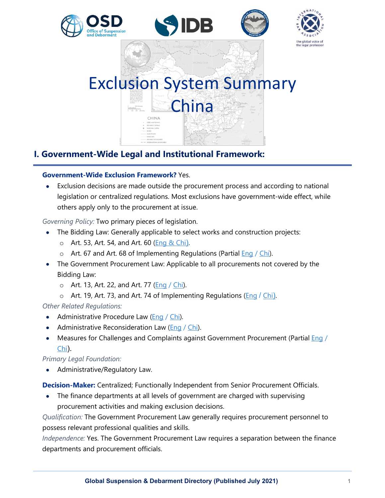

# Exclusion System Summary China  $\begin{array}{|c|c|c|c|c|} \hline 0 & - & 300 \, \mathrm{K} \mathrm{stackes} \\ \hline & 1 & 300 \, \mathrm{K} \mathrm{barates} \\ \hline & 1 & 300 \, \mathrm{K} \mathrm{barates} \\ \hline \end{array}$ CHINA

# **I. Government-Wide Legal and Institutional Framework:**

# **Government-Wide Exclusion Framework?** Yes.

• Exclusion decisions are made outside the procurement process and according to national legislation or centralized regulations. Most exclusions have government-wide effect, while others apply only to the procurement at issue.

*Governing Policy:* Two primary pieces of legislation.

- The Bidding Law: Generally applicable to select works and construction projects:
	- o Art. 53, Art. 54, and Art. 60 [\(Eng & Chi](http://www.lawinfochina.com/display.aspx?id=1014&lib=law)).
	- $\circ$  Art. 67 and Art. 68 of Implementing Regulations (Partial [Eng](http://www.lawinfochina.com/display.aspx?id=30526&lib=law) / [Chi\)](http://www.gov.cn/zwgk/2011-12/29/content_2033184.htm).
- The Government Procurement Law: Applicable to all procurements not covered by the Bidding Law:
	- o Art. 13, Art. 22, and Art. 77 (**Eng** / *Chi*).
	- $\circ$  Art. 19, Art. 73, and Art. 74 of Implementing Regulations [\(Eng](http://www.cpppc.org/en/flfg/994705.jhtml) / [Chi](http://www.gov.cn/zhengce/content/2015-02/27/content_9504.htm)).

*Other Related Regulations:* 

- Administrative Procedure Law [\(Eng](http://english.court.gov.cn/2015-09/11/content_21845451.htm) / [Chi\)](http://www.npc.gov.cn/zgrdw/npc/xinwen/2017-06/29/content_2024894.htm).
- Administrative Reconsideration Law ( $Enq / Chi$ ).
- Measures for Challenges and Complaints against Government Procurement (Partial [Eng](http://lawinfochina.com/display.aspx?id=32a2cc8d595d420dbdfb&lib=law) / [Chi](http://www.ccgp.gov.cn/zcfg/mofgz/201801/t20180103_9430153.htm)).

# *Primary Legal Foundation:*

• Administrative/Regulatory Law.

**Decision-Maker:** Centralized; Functionally Independent from Senior Procurement Officials.

• The finance departments at all levels of government are charged with supervising procurement activities and making exclusion decisions.

*Qualification:* The Government Procurement Law generally requires procurement personnel to possess relevant professional qualities and skills.

*Independence:* Yes. The Government Procurement Law requires a separation between the finance departments and procurement officials.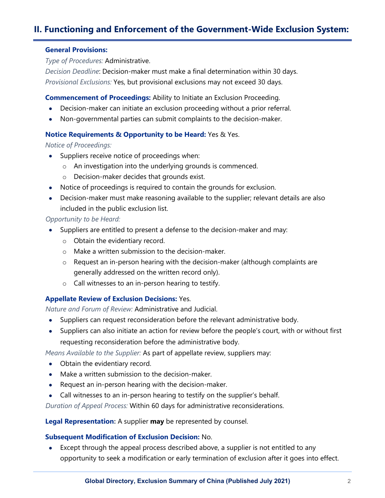# **II. Functioning and Enforcement of the Government-Wide Exclusion System:**

#### **General Provisions:**

*Type of Procedures:* Administrative.

*Decision Deadline*: Decision-maker must make a final determination within 30 days. *Provisional Exclusions:* Yes, but provisional exclusions may not exceed 30 days.

**Commencement of Proceedings:** Ability to Initiate an Exclusion Proceeding.

- Decision-maker can initiate an exclusion proceeding without a prior referral.
- Non-governmental parties can submit complaints to the decision-maker.

#### **Notice Requirements & Opportunity to be Heard:** Yes & Yes.

*Notice of Proceedings:*

- Suppliers receive notice of proceedings when:
	- o An investigation into the underlying grounds is commenced.
	- o Decision-maker decides that grounds exist.
- Notice of proceedings is required to contain the grounds for exclusion.
- Decision-maker must make reasoning available to the supplier; relevant details are also included in the public exclusion list.

#### *Opportunity to be Heard:*

- Suppliers are entitled to present a defense to the decision-maker and may:
	- o Obtain the evidentiary record.
	- o Make a written submission to the decision-maker.
	- o Request an in-person hearing with the decision-maker (although complaints are generally addressed on the written record only).
	- o Call witnesses to an in-person hearing to testify.

## **Appellate Review of Exclusion Decisions:** Yes.

*Nature and Forum of Review:* Administrative and Judicial.

- Suppliers can request reconsideration before the relevant administrative body.
- Suppliers can also initiate an action for review before the people's court, with or without first requesting reconsideration before the administrative body.

*Means Available to the Supplier:* As part of appellate review, suppliers may:

- Obtain the evidentiary record.
- Make a written submission to the decision-maker.
- Request an in-person hearing with the decision-maker.
- Call witnesses to an in-person hearing to testify on the supplier's behalf.

*Duration of Appeal Process:* Within 60 days for administrative reconsiderations.

**Legal Representation:** A supplier **may** be represented by counsel.

#### **Subsequent Modification of Exclusion Decision:** No.

• Except through the appeal process described above, a supplier is not entitled to any opportunity to seek a modification or early termination of exclusion after it goes into effect.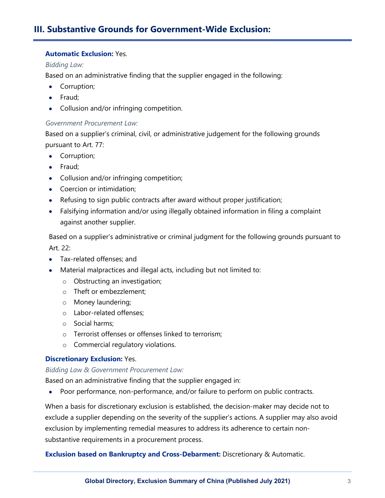# **III. Substantive Grounds for Government-Wide Exclusion:**

## **Automatic Exclusion:** Yes.

#### *Bidding Law:*

Based on an administrative finding that the supplier engaged in the following:

- Corruption;
- Fraud;
- Collusion and/or infringing competition.

#### *Government Procurement Law:*

Based on a supplier's criminal, civil, or administrative judgement for the following grounds pursuant to Art. 77:

- Corruption;
- Fraud;
- Collusion and/or infringing competition;
- Coercion or intimidation;
- Refusing to sign public contracts after award without proper justification;
- Falsifying information and/or using illegally obtained information in filing a complaint against another supplier.

Based on a supplier's administrative or criminal judgment for the following grounds pursuant to Art. 22:

- Tax-related offenses; and
- Material malpractices and illegal acts, including but not limited to:
	- o Obstructing an investigation;
	- o Theft or embezzlement;
	- o Money laundering;
	- o Labor-related offenses;
	- o Social harms;
	- o Terrorist offenses or offenses linked to terrorism;
	- o Commercial regulatory violations.

#### **Discretionary Exclusion:** Yes.

#### *Bidding Law & Government Procurement Law:*

Based on an administrative finding that the supplier engaged in:

• Poor performance, non-performance, and/or failure to perform on public contracts.

When a basis for discretionary exclusion is established, the decision-maker may decide not to exclude a supplier depending on the severity of the supplier's actions. A supplier may also avoid exclusion by implementing remedial measures to address its adherence to certain nonsubstantive requirements in a procurement process.

#### **Exclusion based on Bankruptcy and Cross-Debarment:** Discretionary & Automatic.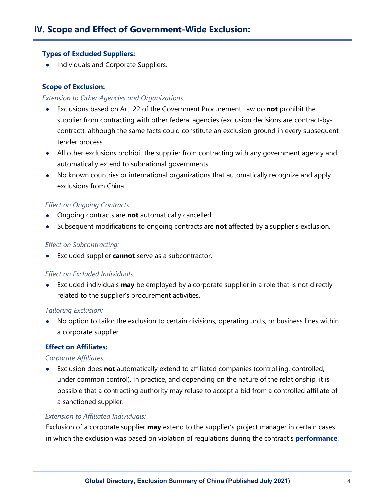# **Types of Excluded Suppliers:**

• Individuals and Corporate Suppliers.

# **Scope of Exclusion:**

# *Extension to Other Agencies and Organizations:*

- Exclusions based on Art. 22 of the Government Procurement Law do **not** prohibit the supplier from contracting with other federal agencies (exclusion decisions are contract-bycontract), although the same facts could constitute an exclusion ground in every subsequent tender process.
- All other exclusions prohibit the supplier from contracting with any government agency and automatically extend to subnational governments.
- No known countries or international organizations that automatically recognize and apply exclusions from China.

# *Effect on Ongoing Contracts:*

- Ongoing contracts are **not** automatically cancelled.
- Subsequent modifications to ongoing contracts are **not** affected by a supplier's exclusion.

# *Effect on Subcontracting:*

• Excluded supplier **cannot** serve as a subcontractor.

## *Effect on Excluded Individuals:*

• Excluded individuals **may** be employed by a corporate supplier in a role that is not directly related to the supplier's procurement activities.

## *Tailoring Exclusion:*

• No option to tailor the exclusion to certain divisions, operating units, or business lines within a corporate supplier.

# **Effect on Affiliates:**

## *Corporate Affiliates:*

• Exclusion does **not** automatically extend to affiliated companies (controlling, controlled, under common control). In practice, and depending on the nature of the relationship, it is possible that a contracting authority may refuse to accept a bid from a controlled affiliate of a sanctioned supplier.

# *Extension to Affiliated Individuals:*

Exclusion of a corporate supplier **may** extend to the supplier's project manager in certain cases in which the exclusion was based on violation of regulations during the contract's **performance**.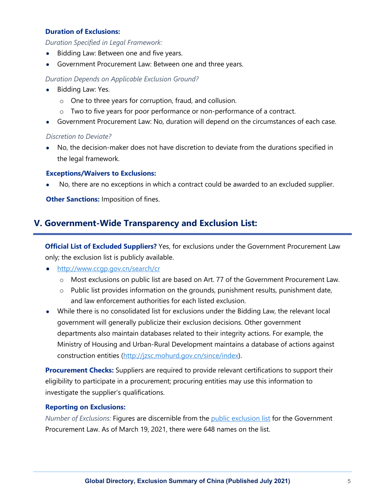## **Duration of Exclusions:**

*Duration Specified in Legal Framework:*

- Bidding Law: Between one and five years.
- Government Procurement Law: Between one and three years.

#### *Duration Depends on Applicable Exclusion Ground?*

- Bidding Law: Yes.
	- o One to three years for corruption, fraud, and collusion.
	- $\circ$  Two to five years for poor performance or non-performance of a contract.
- Government Procurement Law: No, duration will depend on the circumstances of each case.

#### *Discretion to Deviate?*

• No, the decision-maker does not have discretion to deviate from the durations specified in the legal framework.

#### **Exceptions/Waivers to Exclusions:**

• No, there are no exceptions in which a contract could be awarded to an excluded supplier.

**Other Sanctions:** Imposition of fines.

# **V. Government-Wide Transparency and Exclusion List:**

**Official List of Excluded Suppliers?** Yes, for exclusions under the Government Procurement Law only; the exclusion list is publicly available.

• <http://www.ccgp.gov.cn/search/cr>

- o Most exclusions on public list are based on Art. 77 of the Government Procurement Law.
- o Public list provides information on the grounds, punishment results, punishment date, and law enforcement authorities for each listed exclusion.
- While there is no consolidated list for exclusions under the Bidding Law, the relevant local government will generally publicize their exclusion decisions. Other government departments also maintain databases related to their integrity actions. For example, the Ministry of Housing and Urban-Rural Development maintains a database of actions against construction entities [\(http://jzsc.mohurd.gov.cn/since/index\)](http://jzsc.mohurd.gov.cn/since/index).

**Procurement Checks:** Suppliers are required to provide relevant certifications to support their eligibility to participate in a procurement; procuring entities may use this information to investigate the supplier's qualifications.

## **Reporting on Exclusions:**

*Number of Exclusions:* Figures are discernible from the [public exclusion list](http://www.ccgp.gov.cn/search/cr/) for the Government Procurement Law. As of March 19, 2021, there were 648 names on the list.